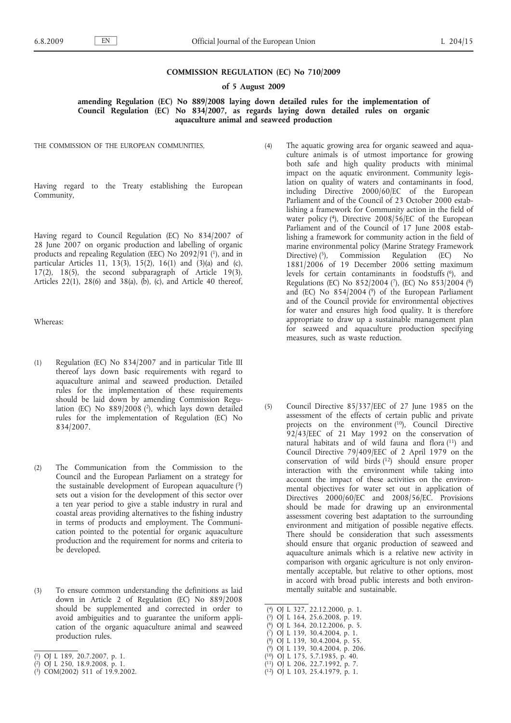### **COMMISSION REGULATION (EC) No 710/2009**

#### **of 5 August 2009**

**amending Regulation (EC) No 889/2008 laying down detailed rules for the implementation of Council Regulation (EC) No 834/2007, as regards laying down detailed rules on organic aquaculture animal and seaweed production**

THE COMMISSION OF THE EUROPEAN COMMUNITIES,

Having regard to the Treaty establishing the European Community,

Having regard to Council Regulation (EC) No 834/2007 of 28 June 2007 on organic production and labelling of organic products and repealing Regulation (EEC) No 2092/91 (1), and in particular Articles 11, 13(3), 15(2), 16(1) and (3)(a) and (c),  $17(2)$ ,  $18(5)$ , the second subparagraph of Article 19(3), Articles 22(1), 28(6) and 38(a), (b), (c), and Article 40 thereof,

Whereas:

- (1) Regulation (EC) No 834/2007 and in particular Title III thereof lays down basic requirements with regard to aquaculture animal and seaweed production. Detailed rules for the implementation of these requirements should be laid down by amending Commission Regulation (EC) No 889/2008 (2), which lays down detailed rules for the implementation of Regulation (EC) No 834/2007.
- (2) The Communication from the Commission to the Council and the European Parliament on a strategy for the sustainable development of European aquaculture (3) sets out a vision for the development of this sector over a ten year period to give a stable industry in rural and coastal areas providing alternatives to the fishing industry in terms of products and employment. The Communication pointed to the potential for organic aquaculture production and the requirement for norms and criteria to be developed.
- (3) To ensure common understanding the definitions as laid down in Article 2 of Regulation (EC) No 889/2008 should be supplemented and corrected in order to avoid ambiguities and to guarantee the uniform application of the organic aquaculture animal and seaweed production rules.
- ( 1) OJ L 189, 20.7.2007, p. 1.
- ( 2) OJ L 250, 18.9.2008, p. 1.
- ( 3) COM(2002) 511 of 19.9.2002.
- (4) The aquatic growing area for organic seaweed and aquaculture animals is of utmost importance for growing both safe and high quality products with minimal impact on the aquatic environment. Community legislation on quality of waters and contaminants in food, including Directive 2000/60/EC of the European Parliament and of the Council of 23 October 2000 establishing a framework for Community action in the field of water policy  $(4)$ , Directive 2008/56/EC of the European Parliament and of the Council of 17 June 2008 establishing a framework for community action in the field of marine environmental policy (Marine Strategy Framework Directive) (5), Commission Regulation (EC) No 1881/2006 of 19 December 2006 setting maximum levels for certain contaminants in foodstuffs (6), and Regulations (EC) No 852/2004 (7), (EC) No 853/2004 (8) and (EC) No 854/2004 (9) of the European Parliament and of the Council provide for environmental objectives for water and ensures high food quality. It is therefore appropriate to draw up a sustainable management plan for seaweed and aquaculture production specifying measures, such as waste reduction.
- (5) Council Directive 85/337/EEC of 27 June 1985 on the assessment of the effects of certain public and private projects on the environment (10), Council Directive 92/43/EEC of 21 May 1992 on the conservation of natural habitats and of wild fauna and flora (11) and Council Directive 79/409/EEC of 2 April 1979 on the conservation of wild birds (12) should ensure proper interaction with the environment while taking into account the impact of these activities on the environmental objectives for water set out in application of Directives 2000/60/EC and 2008/56/EC. Provisions should be made for drawing up an environmental assessment covering best adaptation to the surrounding environment and mitigation of possible negative effects. There should be consideration that such assessments should ensure that organic production of seaweed and aquaculture animals which is a relative new activity in comparison with organic agriculture is not only environmentally acceptable, but relative to other options, most in accord with broad public interests and both environmentally suitable and sustainable.
- ( 4) OJ L 327, 22.12.2000, p. 1.
- ( 5) OJ L 164, 25.6.2008, p. 19.
- ( 6) OJ L 364, 20.12.2006, p. 5.
- ( 7) OJ L 139, 30.4.2004, p. 1.
- ( 8) OJ L 139, 30.4.2004, p. 55.
- ( 9) OJ L 139, 30.4.2004, p. 206.
- ( 10) OJ L 175, 5.7.1985, p. 40.
- ( 11) OJ L 206, 22.7.1992, p. 7.
- ( 12) OJ L 103, 25.4.1979, p. 1.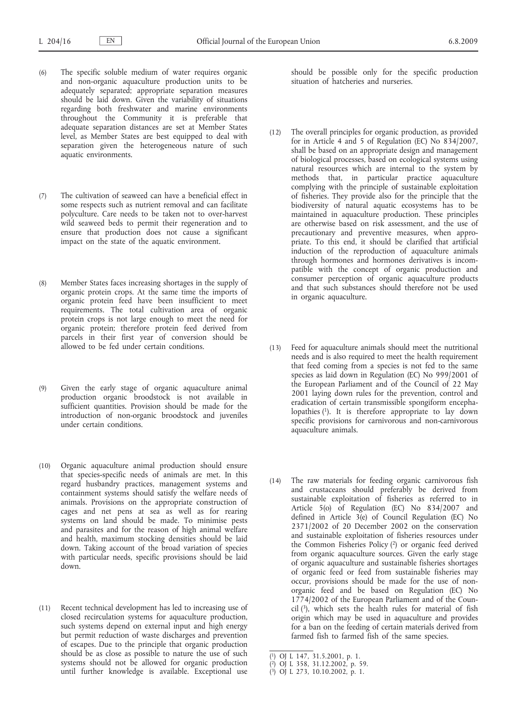- (6) The specific soluble medium of water requires organic and non-organic aquaculture production units to be adequately separated; appropriate separation measures should be laid down. Given the variability of situations regarding both freshwater and marine environments throughout the Community it is preferable that adequate separation distances are set at Member States level, as Member States are best equipped to deal with separation given the heterogeneous nature of such aquatic environments.
- (7) The cultivation of seaweed can have a beneficial effect in some respects such as nutrient removal and can facilitate polyculture. Care needs to be taken not to over-harvest wild seaweed beds to permit their regeneration and to ensure that production does not cause a significant impact on the state of the aquatic environment.
- (8) Member States faces increasing shortages in the supply of organic protein crops. At the same time the imports of organic protein feed have been insufficient to meet requirements. The total cultivation area of organic protein crops is not large enough to meet the need for organic protein; therefore protein feed derived from parcels in their first year of conversion should be allowed to be fed under certain conditions.
- (9) Given the early stage of organic aquaculture animal production organic broodstock is not available in sufficient quantities. Provision should be made for the introduction of non-organic broodstock and juveniles under certain conditions.
- (10) Organic aquaculture animal production should ensure that species-specific needs of animals are met. In this regard husbandry practices, management systems and containment systems should satisfy the welfare needs of animals. Provisions on the appropriate construction of cages and net pens at sea as well as for rearing systems on land should be made. To minimise pests and parasites and for the reason of high animal welfare and health, maximum stocking densities should be laid down. Taking account of the broad variation of species with particular needs, specific provisions should be laid down.
- (11) Recent technical development has led to increasing use of closed recirculation systems for aquaculture production, such systems depend on external input and high energy but permit reduction of waste discharges and prevention of escapes. Due to the principle that organic production should be as close as possible to nature the use of such systems should not be allowed for organic production until further knowledge is available. Exceptional use

should be possible only for the specific production situation of hatcheries and nurseries.

- (12) The overall principles for organic production, as provided for in Article 4 and 5 of Regulation (EC) No 834/2007, shall be based on an appropriate design and management of biological processes, based on ecological systems using natural resources which are internal to the system by methods that, in particular practice aquaculture complying with the principle of sustainable exploitation of fisheries. They provide also for the principle that the biodiversity of natural aquatic ecosystems has to be maintained in aquaculture production. These principles are otherwise based on risk assessment, and the use of precautionary and preventive measures, when appropriate. To this end, it should be clarified that artificial induction of the reproduction of aquaculture animals through hormones and hormones derivatives is incompatible with the concept of organic production and consumer perception of organic aquaculture products and that such substances should therefore not be used in organic aquaculture.
- (13) Feed for aquaculture animals should meet the nutritional needs and is also required to meet the health requirement that feed coming from a species is not fed to the same species as laid down in Regulation (EC) No 999/2001 of the European Parliament and of the Council of 22 May 2001 laying down rules for the prevention, control and eradication of certain transmissible spongiform encephalopathies (1). It is therefore appropriate to lay down specific provisions for carnivorous and non-carnivorous aquaculture animals.
- (14) The raw materials for feeding organic carnivorous fish and crustaceans should preferably be derived from sustainable exploitation of fisheries as referred to in Article 5(o) of Regulation (EC) No 834/2007 and defined in Article 3(e) of Council Regulation (EC) No 2371/2002 of 20 December 2002 on the conservation and sustainable exploitation of fisheries resources under the Common Fisheries Policy (2) or organic feed derived from organic aquaculture sources. Given the early stage of organic aquaculture and sustainable fisheries shortages of organic feed or feed from sustainable fisheries may occur, provisions should be made for the use of nonorganic feed and be based on Regulation (EC) No 1774/2002 of the European Parliament and of the Council  $(3)$ , which sets the health rules for material of fish origin which may be used in aquaculture and provides for a ban on the feeding of certain materials derived from farmed fish to farmed fish of the same species.

<sup>(</sup> 1) OJ L 147, 31.5.2001, p. 1.

<sup>(</sup> 2) OJ L 358, 31.12.2002, p. 59.

<sup>(</sup> 3) OJ L 273, 10.10.2002, p. 1.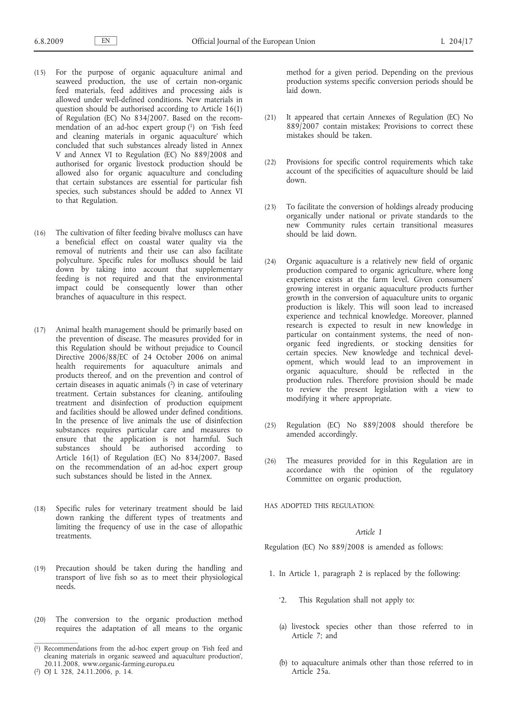- (15) For the purpose of organic aquaculture animal and seaweed production, the use of certain non-organic feed materials, feed additives and processing aids is allowed under well-defined conditions. New materials in question should be authorised according to Article 16(1) of Regulation (EC) No 834/2007. Based on the recommendation of an ad-hoc expert group (1) on 'Fish feed and cleaning materials in organic aquaculture' which concluded that such substances already listed in Annex V and Annex VI to Regulation (EC) No 889/2008 and authorised for organic livestock production should be allowed also for organic aquaculture and concluding that certain substances are essential for particular fish species, such substances should be added to Annex VI to that Regulation.
- (16) The cultivation of filter feeding bivalve molluscs can have a beneficial effect on coastal water quality via the removal of nutrients and their use can also facilitate polyculture. Specific rules for molluscs should be laid down by taking into account that supplementary feeding is not required and that the environmental impact could be consequently lower than other branches of aquaculture in this respect.
- (17) Animal health management should be primarily based on the prevention of disease. The measures provided for in this Regulation should be without prejudice to Council Directive 2006/88/EC of 24 October 2006 on animal health requirements for aquaculture animals and products thereof, and on the prevention and control of certain diseases in aquatic animals (2) in case of veterinary treatment. Certain substances for cleaning, antifouling treatment and disinfection of production equipment and facilities should be allowed under defined conditions. In the presence of live animals the use of disinfection substances requires particular care and measures to ensure that the application is not harmful. Such substances should be authorised according to Article 16(1) of Regulation (EC) No 834/2007. Based on the recommendation of an ad-hoc expert group such substances should be listed in the Annex.
- (18) Specific rules for veterinary treatment should be laid down ranking the different types of treatments and limiting the frequency of use in the case of allopathic treatments.
- (19) Precaution should be taken during the handling and transport of live fish so as to meet their physiological needs.
- (20) The conversion to the organic production method requires the adaptation of all means to the organic

method for a given period. Depending on the previous production systems specific conversion periods should be laid down.

- (21) It appeared that certain Annexes of Regulation (EC) No 889/2007 contain mistakes; Provisions to correct these mistakes should be taken.
- (22) Provisions for specific control requirements which take account of the specificities of aquaculture should be laid down.
- (23) To facilitate the conversion of holdings already producing organically under national or private standards to the new Community rules certain transitional measures should be laid down.
- (24) Organic aquaculture is a relatively new field of organic production compared to organic agriculture, where long experience exists at the farm level. Given consumers' growing interest in organic aquaculture products further growth in the conversion of aquaculture units to organic production is likely. This will soon lead to increased experience and technical knowledge. Moreover, planned research is expected to result in new knowledge in particular on containment systems, the need of nonorganic feed ingredients, or stocking densities for certain species. New knowledge and technical development, which would lead to an improvement in organic aquaculture, should be reflected in the production rules. Therefore provision should be made to review the present legislation with a view to modifying it where appropriate.
- (25) Regulation (EC) No 889/2008 should therefore be amended accordingly.
- (26) The measures provided for in this Regulation are in accordance with the opinion of the regulatory Committee on organic production,

HAS ADOPTED THIS REGULATION:

## *Article 1*

Regulation (EC) No 889/2008 is amended as follows:

- 1. In Article 1, paragraph 2 is replaced by the following:
	- '2. This Regulation shall not apply to:
	- (a) livestock species other than those referred to in Article 7; and
	- (b) to aquaculture animals other than those referred to in Article 25a.

<sup>(</sup> 1) Recommendations from the ad-hoc expert group on 'Fish feed and cleaning materials in organic seaweed and aquaculture production', 20.11.2008, www.organic-farming.europa.eu

<sup>(</sup> 2) OJ L 328, 24.11.2006, p. 14.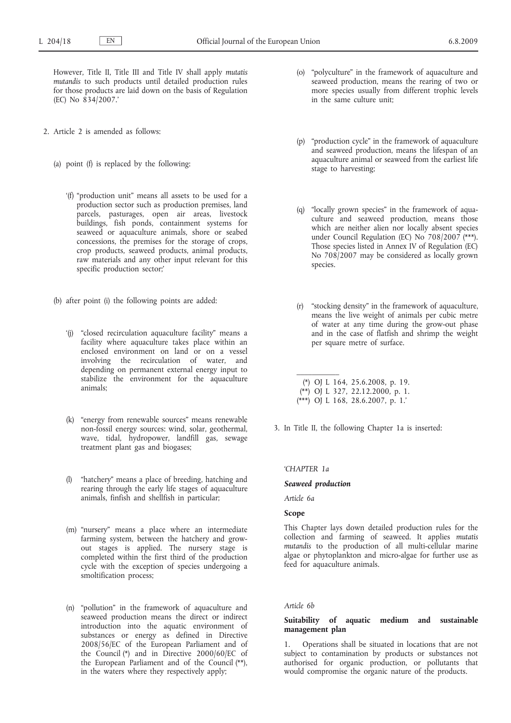However, Title II, Title III and Title IV shall apply *mutatis mutandis* to such products until detailed production rules for those products are laid down on the basis of Regulation (EC) No 834/2007.'

- 2. Article 2 is amended as follows:
	- (a) point (f) is replaced by the following:
		- '(f) "production unit" means all assets to be used for a production sector such as production premises, land parcels, pasturages, open air areas, livestock buildings, fish ponds, containment systems for seaweed or aquaculture animals, shore or seabed concessions, the premises for the storage of crops, crop products, seaweed products, animal products, raw materials and any other input relevant for this specific production sector;'
	- (b) after point (i) the following points are added:
		- '(j) "closed recirculation aquaculture facility" means a facility where aquaculture takes place within an enclosed environment on land or on a vessel involving the recirculation of water, and depending on permanent external energy input to stabilize the environment for the aquaculture animals;
		- (k) "energy from renewable sources" means renewable non-fossil energy sources: wind, solar, geothermal, wave, tidal, hydropower, landfill gas, sewage treatment plant gas and biogases;
		- (l) "hatchery" means a place of breeding, hatching and rearing through the early life stages of aquaculture animals, finfish and shellfish in particular;
		- (m) "nursery" means a place where an intermediate farming system, between the hatchery and growout stages is applied. The nursery stage is completed within the first third of the production cycle with the exception of species undergoing a smoltification process;
		- (n) "pollution" in the framework of aquaculture and seaweed production means the direct or indirect introduction into the aquatic environment of substances or energy as defined in Directive 2008/56/EC of the European Parliament and of the Council (\*) and in Directive 2000/60/EC of the European Parliament and of the Council (\*\*), in the waters where they respectively apply;
- (o) "polyculture" in the framework of aquaculture and seaweed production, means the rearing of two or more species usually from different trophic levels in the same culture unit;
- (p) "production cycle" in the framework of aquaculture and seaweed production, means the lifespan of an aquaculture animal or seaweed from the earliest life stage to harvesting;
- (q) "locally grown species" in the framework of aquaculture and seaweed production, means those which are neither alien nor locally absent species under Council Regulation (EC) No 708/2007 (\*\*\*). Those species listed in Annex IV of Regulation (EC) No 708/2007 may be considered as locally grown species.
- (r) "stocking density" in the framework of aquaculture, means the live weight of animals per cubic metre of water at any time during the grow-out phase and in the case of flatfish and shrimp the weight per square metre of surface.

(\*) OJ L 164, 25.6.2008, p. 19. (\*\*) OJ L 327, 22.12.2000, p. 1. (\*\*\*) OJ L 168, 28.6.2007, p. 1.'

3. In Title II, the following Chapter 1a is inserted:

### *'CHAPTER 1a*

## *Seaweed production*

 $\mathcal{L}=\mathcal{L}$ 

*Article 6a*

## **Scope**

This Chapter lays down detailed production rules for the collection and farming of seaweed. It applies *mutatis mutandis* to the production of all multi-cellular marine algae or phytoplankton and micro-algae for further use as feed for aquaculture animals.

## *Article 6b*

### **Suitability of aquatic medium and sustainable management plan**

1. Operations shall be situated in locations that are not subject to contamination by products or substances not authorised for organic production, or pollutants that would compromise the organic nature of the products.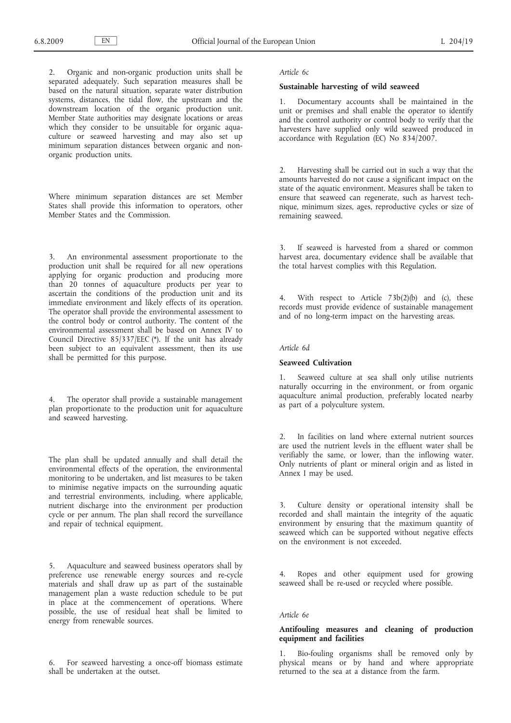2. Organic and non-organic production units shall be separated adequately. Such separation measures shall be based on the natural situation, separate water distribution systems, distances, the tidal flow, the upstream and the downstream location of the organic production unit. Member State authorities may designate locations or areas which they consider to be unsuitable for organic aquaculture or seaweed harvesting and may also set up minimum separation distances between organic and nonorganic production units.

Where minimum separation distances are set Member States shall provide this information to operators, other Member States and the Commission.

3. An environmental assessment proportionate to the production unit shall be required for all new operations applying for organic production and producing more than 20 tonnes of aquaculture products per year to ascertain the conditions of the production unit and its immediate environment and likely effects of its operation. The operator shall provide the environmental assessment to the control body or control authority. The content of the environmental assessment shall be based on Annex IV to Council Directive 85/337/EEC (\*). If the unit has already been subject to an equivalent assessment, then its use shall be permitted for this purpose.

4. The operator shall provide a sustainable management plan proportionate to the production unit for aquaculture and seaweed harvesting.

The plan shall be updated annually and shall detail the environmental effects of the operation, the environmental monitoring to be undertaken, and list measures to be taken to minimise negative impacts on the surrounding aquatic and terrestrial environments, including, where applicable, nutrient discharge into the environment per production cycle or per annum. The plan shall record the surveillance and repair of technical equipment.

5. Aquaculture and seaweed business operators shall by preference use renewable energy sources and re-cycle materials and shall draw up as part of the sustainable management plan a waste reduction schedule to be put in place at the commencement of operations. Where possible, the use of residual heat shall be limited to energy from renewable sources.

6. For seaweed harvesting a once-off biomass estimate shall be undertaken at the outset.

#### *Article 6c*

### **Sustainable harvesting of wild seaweed**

1. Documentary accounts shall be maintained in the unit or premises and shall enable the operator to identify and the control authority or control body to verify that the harvesters have supplied only wild seaweed produced in accordance with Regulation (EC) No 834/2007.

2. Harvesting shall be carried out in such a way that the amounts harvested do not cause a significant impact on the state of the aquatic environment. Measures shall be taken to ensure that seaweed can regenerate, such as harvest technique, minimum sizes, ages, reproductive cycles or size of remaining seaweed.

If seaweed is harvested from a shared or common harvest area, documentary evidence shall be available that the total harvest complies with this Regulation.

4. With respect to Article 73b(2)(b) and (c), these records must provide evidence of sustainable management and of no long-term impact on the harvesting areas.

## *Article 6d*

## **Seaweed Cultivation**

1. Seaweed culture at sea shall only utilise nutrients naturally occurring in the environment, or from organic aquaculture animal production, preferably located nearby as part of a polyculture system.

2. In facilities on land where external nutrient sources are used the nutrient levels in the effluent water shall be verifiably the same, or lower, than the inflowing water. Only nutrients of plant or mineral origin and as listed in Annex I may be used.

Culture density or operational intensity shall be recorded and shall maintain the integrity of the aquatic environment by ensuring that the maximum quantity of seaweed which can be supported without negative effects on the environment is not exceeded.

4. Ropes and other equipment used for growing seaweed shall be re-used or recycled where possible.

## *Article 6e*

## **Antifouling measures and cleaning of production equipment and facilities**

1. Bio-fouling organisms shall be removed only by physical means or by hand and where appropriate returned to the sea at a distance from the farm.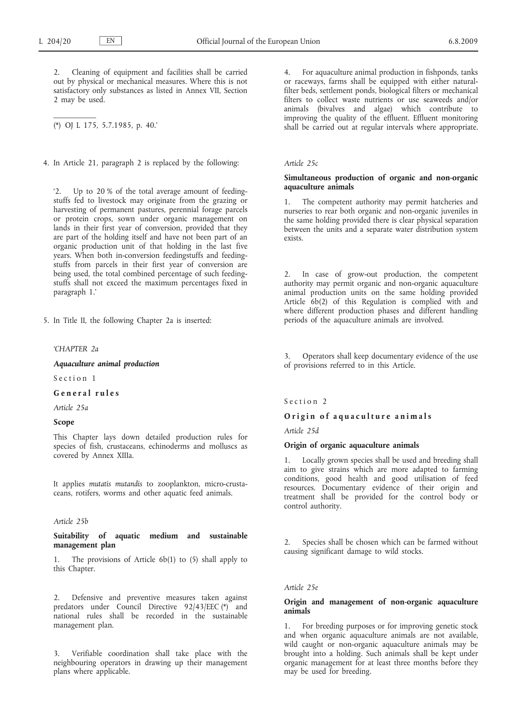$\mathcal{L}=\mathcal{L}$ 

2. Cleaning of equipment and facilities shall be carried out by physical or mechanical measures. Where this is not satisfactory only substances as listed in Annex VII, Section 2 may be used.

(\*) OJ L 175, 5.7.1985, p. 40.'

4. In Article 21, paragraph 2 is replaced by the following:

'2. Up to 20 % of the total average amount of feedingstuffs fed to livestock may originate from the grazing or harvesting of permanent pastures, perennial forage parcels or protein crops, sown under organic management on lands in their first year of conversion, provided that they are part of the holding itself and have not been part of an organic production unit of that holding in the last five years. When both in-conversion feedingstuffs and feedingstuffs from parcels in their first year of conversion are being used, the total combined percentage of such feedingstuffs shall not exceed the maximum percentages fixed in paragraph 1.'

5. In Title II, the following Chapter 2a is inserted:

#### *'CHAPTER 2a*

*Aquaculture animal production*

Section 1

**G e n e r a l r u l e s**

*Article 25a*

### **Scope**

This Chapter lays down detailed production rules for species of fish, crustaceans, echinoderms and molluscs as covered by Annex XIIIa.

It applies *mutatis mutandis* to zooplankton, micro-crustaceans, rotifers, worms and other aquatic feed animals.

### *Article 25b*

**Suitability of aquatic medium and sustainable management plan**

1. The provisions of Article 6b(1) to (5) shall apply to this Chapter.

Defensive and preventive measures taken against predators under Council Directive 92/43/EEC (\*) and national rules shall be recorded in the sustainable management plan.

3. Verifiable coordination shall take place with the neighbouring operators in drawing up their management plans where applicable.

4. For aquaculture animal production in fishponds, tanks or raceways, farms shall be equipped with either naturalfilter beds, settlement ponds, biological filters or mechanical filters to collect waste nutrients or use seaweeds and/or animals (bivalves and algae) which contribute to improving the quality of the effluent. Effluent monitoring shall be carried out at regular intervals where appropriate.

#### *Article 25c*

## **Simultaneous production of organic and non-organic aquaculture animals**

1. The competent authority may permit hatcheries and nurseries to rear both organic and non-organic juveniles in the same holding provided there is clear physical separation between the units and a separate water distribution system exists.

2. In case of grow-out production, the competent authority may permit organic and non-organic aquaculture animal production units on the same holding provided Article 6b(2) of this Regulation is complied with and where different production phases and different handling periods of the aquaculture animals are involved.

3. Operators shall keep documentary evidence of the use of provisions referred to in this Article.

## Section 2

#### O rigin of aquaculture animals

*Article 25d*

#### **Origin of organic aquaculture animals**

1. Locally grown species shall be used and breeding shall aim to give strains which are more adapted to farming conditions, good health and good utilisation of feed resources. Documentary evidence of their origin and treatment shall be provided for the control body or control authority.

2. Species shall be chosen which can be farmed without causing significant damage to wild stocks.

#### *Article 25e*

### **Origin and management of non-organic aquaculture animals**

1. For breeding purposes or for improving genetic stock and when organic aquaculture animals are not available, wild caught or non-organic aquaculture animals may be brought into a holding. Such animals shall be kept under organic management for at least three months before they may be used for breeding.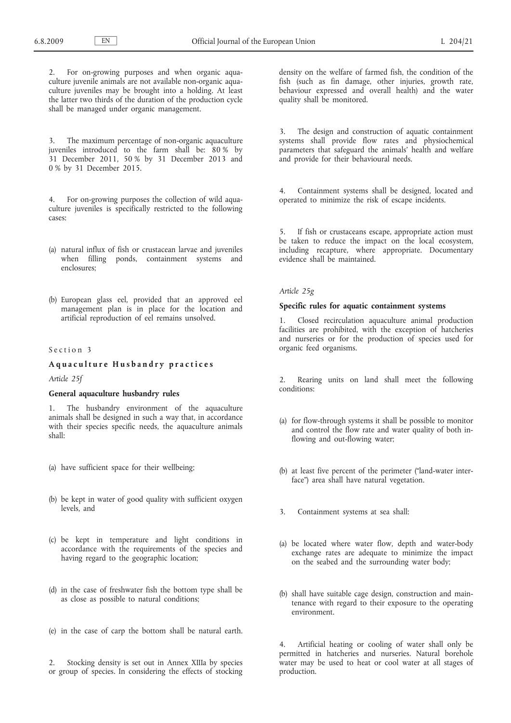2. For on-growing purposes and when organic aquaculture juvenile animals are not available non-organic aquaculture juveniles may be brought into a holding. At least the latter two thirds of the duration of the production cycle shall be managed under organic management.

3. The maximum percentage of non-organic aquaculture juveniles introduced to the farm shall be: 80 % by 31 December 2011, 50 % by 31 December 2013 and 0 % by 31 December 2015.

4. For on-growing purposes the collection of wild aquaculture juveniles is specifically restricted to the following cases:

- (a) natural influx of fish or crustacean larvae and juveniles when filling ponds, containment systems and enclosures;
- (b) European glass eel, provided that an approved eel management plan is in place for the location and artificial reproduction of eel remains unsolved.

#### Section 3

## **A q u a c u l t u r e H u s b a n d r y p r a c t i c e s**

### *Article 25f*

#### **General aquaculture husbandry rules**

1. The husbandry environment of the aquaculture animals shall be designed in such a way that, in accordance with their species specific needs, the aquaculture animals shall:

- (a) have sufficient space for their wellbeing;
- (b) be kept in water of good quality with sufficient oxygen levels, and
- (c) be kept in temperature and light conditions in accordance with the requirements of the species and having regard to the geographic location;
- (d) in the case of freshwater fish the bottom type shall be as close as possible to natural conditions;
- (e) in the case of carp the bottom shall be natural earth.
- 2. Stocking density is set out in Annex XIIIa by species or group of species. In considering the effects of stocking

density on the welfare of farmed fish, the condition of the fish (such as fin damage, other injuries, growth rate, behaviour expressed and overall health) and the water quality shall be monitored.

3. The design and construction of aquatic containment systems shall provide flow rates and physiochemical parameters that safeguard the animals' health and welfare and provide for their behavioural needs.

4. Containment systems shall be designed, located and operated to minimize the risk of escape incidents.

5. If fish or crustaceans escape, appropriate action must be taken to reduce the impact on the local ecosystem, including recapture, where appropriate. Documentary evidence shall be maintained.

#### *Article 25g*

#### **Specific rules for aquatic containment systems**

1. Closed recirculation aquaculture animal production facilities are prohibited, with the exception of hatcheries and nurseries or for the production of species used for organic feed organisms.

2. Rearing units on land shall meet the following conditions:

- (a) for flow-through systems it shall be possible to monitor and control the flow rate and water quality of both inflowing and out-flowing water;
- (b) at least five percent of the perimeter ("land-water interface") area shall have natural vegetation.
- 3. Containment systems at sea shall:
- (a) be located where water flow, depth and water-body exchange rates are adequate to minimize the impact on the seabed and the surrounding water body;
- (b) shall have suitable cage design, construction and maintenance with regard to their exposure to the operating environment.

4. Artificial heating or cooling of water shall only be permitted in hatcheries and nurseries. Natural borehole water may be used to heat or cool water at all stages of production.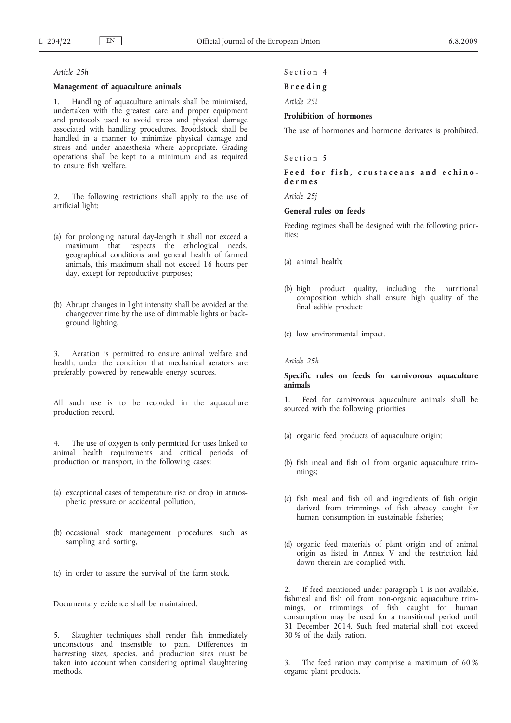#### *Article 25h*

### **Management of aquaculture animals**

1. Handling of aquaculture animals shall be minimised, undertaken with the greatest care and proper equipment and protocols used to avoid stress and physical damage associated with handling procedures. Broodstock shall be handled in a manner to minimize physical damage and stress and under anaesthesia where appropriate. Grading operations shall be kept to a minimum and as required to ensure fish welfare.

The following restrictions shall apply to the use of artificial light:

- (a) for prolonging natural day-length it shall not exceed a maximum that respects the ethological needs, geographical conditions and general health of farmed animals, this maximum shall not exceed 16 hours per day, except for reproductive purposes;
- (b) Abrupt changes in light intensity shall be avoided at the changeover time by the use of dimmable lights or background lighting.

3. Aeration is permitted to ensure animal welfare and health, under the condition that mechanical aerators are preferably powered by renewable energy sources.

All such use is to be recorded in the aquaculture production record.

4. The use of oxygen is only permitted for uses linked to animal health requirements and critical periods of production or transport, in the following cases:

- (a) exceptional cases of temperature rise or drop in atmospheric pressure or accidental pollution,
- (b) occasional stock management procedures such as sampling and sorting,
- (c) in order to assure the survival of the farm stock.

Documentary evidence shall be maintained.

5. Slaughter techniques shall render fish immediately unconscious and insensible to pain. Differences in harvesting sizes, species, and production sites must be taken into account when considering optimal slaughtering methods.

#### Section 4

#### **B r e e d i n g**

*Article 25i*

### **Prohibition of hormones**

The use of hormones and hormone derivates is prohibited.

# Section 5

## Feed for fish, crustaceans and echino**d e r m e s**

*Article 25j*

## **General rules on feeds**

Feeding regimes shall be designed with the following priorities:

- (a) animal health;
- (b) high product quality, including the nutritional composition which shall ensure high quality of the final edible product;
- (c) low environmental impact.

#### *Article 25k*

### **Specific rules on feeds for carnivorous aquaculture animals**

1. Feed for carnivorous aquaculture animals shall be sourced with the following priorities:

- (a) organic feed products of aquaculture origin;
- (b) fish meal and fish oil from organic aquaculture trimmings;
- (c) fish meal and fish oil and ingredients of fish origin derived from trimmings of fish already caught for human consumption in sustainable fisheries;
- (d) organic feed materials of plant origin and of animal origin as listed in Annex V and the restriction laid down therein are complied with.

2. If feed mentioned under paragraph 1 is not available, fishmeal and fish oil from non-organic aquaculture trimmings, or trimmings of fish caught for human consumption may be used for a transitional period until 31 December 2014. Such feed material shall not exceed 30 % of the daily ration.

The feed ration may comprise a maximum of 60 % organic plant products.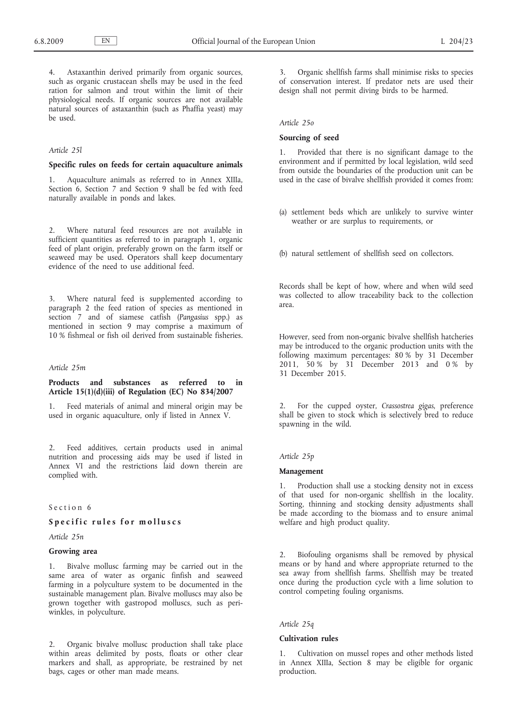4. Astaxanthin derived primarily from organic sources, such as organic crustacean shells may be used in the feed ration for salmon and trout within the limit of their physiological needs. If organic sources are not available natural sources of astaxanthin (such as Phaffia yeast) may be used.

#### *Article 25l*

#### **Specific rules on feeds for certain aquaculture animals**

1. Aquaculture animals as referred to in Annex XIIIa, Section 6, Section 7 and Section 9 shall be fed with feed naturally available in ponds and lakes.

2. Where natural feed resources are not available in sufficient quantities as referred to in paragraph 1, organic feed of plant origin, preferably grown on the farm itself or seaweed may be used. Operators shall keep documentary evidence of the need to use additional feed.

3. Where natural feed is supplemented according to paragraph 2 the feed ration of species as mentioned in section 7 and of siamese catfish (*Pangasius* spp.) as mentioned in section 9 may comprise a maximum of 10 % fishmeal or fish oil derived from sustainable fisheries.

#### *Article 25m*

## **Products and substances as referred to in Article 15(1)(d)(iii) of Regulation (EC) No 834/2007**

1. Feed materials of animal and mineral origin may be used in organic aquaculture, only if listed in Annex V.

2. Feed additives, certain products used in animal nutrition and processing aids may be used if listed in Annex VI and the restrictions laid down therein are complied with.

## Section 6

# Specific rules for molluscs

*Article 25n*

## **Growing area**

1. Bivalve mollusc farming may be carried out in the same area of water as organic finfish and seaweed farming in a polyculture system to be documented in the sustainable management plan. Bivalve molluscs may also be grown together with gastropod molluscs, such as periwinkles, in polyculture.

2. Organic bivalve mollusc production shall take place within areas delimited by posts, floats or other clear markers and shall, as appropriate, be restrained by net bags, cages or other man made means.

3. Organic shellfish farms shall minimise risks to species of conservation interest. If predator nets are used their design shall not permit diving birds to be harmed.

#### *Article 25o*

#### **Sourcing of seed**

1. Provided that there is no significant damage to the environment and if permitted by local legislation, wild seed from outside the boundaries of the production unit can be used in the case of bivalve shellfish provided it comes from:

(a) settlement beds which are unlikely to survive winter weather or are surplus to requirements, or

(b) natural settlement of shellfish seed on collectors.

Records shall be kept of how, where and when wild seed was collected to allow traceability back to the collection area.

However, seed from non-organic bivalve shellfish hatcheries may be introduced to the organic production units with the following maximum percentages: 80 % by 31 December 2011, 50 % by 31 December 2013 and 0 % by 31 December 2015.

2. For the cupped oyster, *Crassostrea gigas*, preference shall be given to stock which is selectively bred to reduce spawning in the wild.

### *Article 25p*

#### **Management**

1. Production shall use a stocking density not in excess of that used for non-organic shellfish in the locality. Sorting, thinning and stocking density adjustments shall be made according to the biomass and to ensure animal welfare and high product quality.

2. Biofouling organisms shall be removed by physical means or by hand and where appropriate returned to the sea away from shellfish farms. Shellfish may be treated once during the production cycle with a lime solution to control competing fouling organisms.

## *Article 25q*

#### **Cultivation rules**

1. Cultivation on mussel ropes and other methods listed in Annex XIIIa, Section 8 may be eligible for organic production.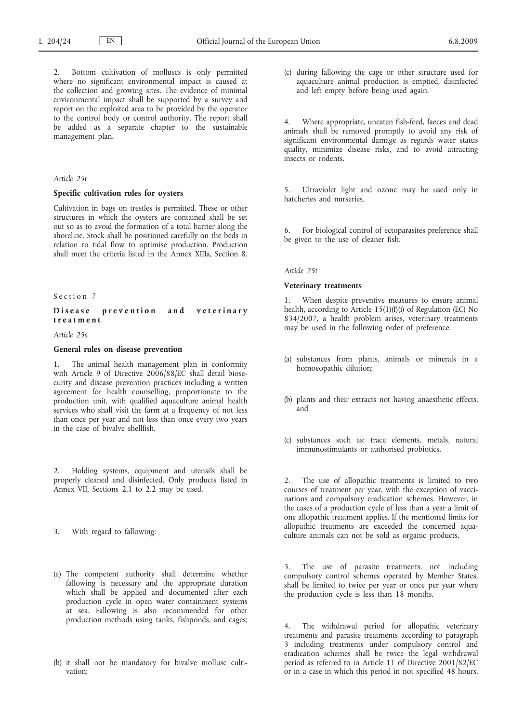2. Bottom cultivation of molluscs is only permitted where no significant environmental impact is caused at the collection and growing sites. The evidence of minimal environmental impact shall be supported by a survey and report on the exploited area to be provided by the operator to the control body or control authority. The report shall be added as a separate chapter to the sustainable management plan.

### *Article 25r*

#### **Specific cultivation rules for oysters**

Cultivation in bags on trestles is permitted. These or other structures in which the oysters are contained shall be set out so as to avoid the formation of a total barrier along the shoreline. Stock shall be positioned carefully on the beds in relation to tidal flow to optimise production. Production shall meet the criteria listed in the Annex XIIIa, Section 8.

### Section 7

### Disease prevention and veterinary **t r e a t m e n t**

*Article 25s*

### **General rules on disease prevention**

1. The animal health management plan in conformity with Article 9 of Directive 2006/88/EC shall detail biosecurity and disease prevention practices including a written agreement for health counselling, proportionate to the production unit, with qualified aquaculture animal health services who shall visit the farm at a frequency of not less than once per year and not less than once every two years in the case of bivalve shellfish.

2. Holding systems, equipment and utensils shall be properly cleaned and disinfected. Only products listed in Annex VII, Sections 2.1 to 2.2 may be used.

- 3. With regard to fallowing:
- (a) The competent authority shall determine whether fallowing is necessary and the appropriate duration which shall be applied and documented after each production cycle in open water containment systems at sea. Fallowing is also recommended for other production methods using tanks, fishponds, and cages;
- (b) it shall not be mandatory for bivalve mollusc cultivation;
- (c) during fallowing the cage or other structure used for aquaculture animal production is emptied, disinfected and left empty before being used again.
- 4. Where appropriate, uneaten fish-feed, faeces and dead animals shall be removed promptly to avoid any risk of significant environmental damage as regards water status quality, minimize disease risks, and to avoid attracting insects or rodents.

5. Ultraviolet light and ozone may be used only in hatcheries and nurseries.

6. For biological control of ectoparasites preference shall be given to the use of cleaner fish.

*Article 25t*

### **Veterinary treatments**

1. When despite preventive measures to ensure animal health, according to Article 15(1)(f)(i) of Regulation (EC) No 834/2007, a health problem arises, veterinary treatments may be used in the following order of preference:

- (a) substances from plants, animals or minerals in a homoeopathic dilution;
- (b) plants and their extracts not having anaesthetic effects, and
- (c) substances such as: trace elements, metals, natural immunostimulants or authorised probiotics.

2. The use of allopathic treatments is limited to two courses of treatment per year, with the exception of vaccinations and compulsory eradication schemes. However, in the cases of a production cycle of less than a year a limit of one allopathic treatment applies. If the mentioned limits for allopathic treatments are exceeded the concerned aquaculture animals can not be sold as organic products.

3. The use of parasite treatments, not including compulsory control schemes operated by Member States, shall be limited to twice per year or once per year where the production cycle is less than 18 months.

4. The withdrawal period for allopathic veterinary treatments and parasite treatments according to paragraph 3 including treatments under compulsory control and eradication schemes shall be twice the legal withdrawal period as referred to in Article 11 of Directive 2001/82/EC or in a case in which this period in not specified 48 hours.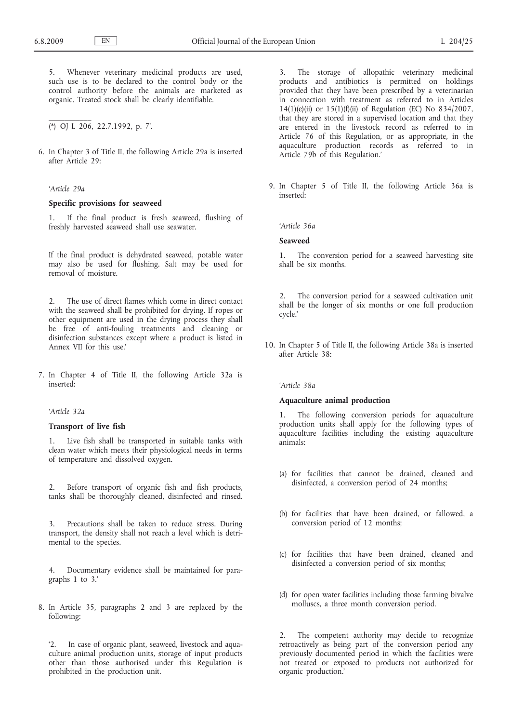5. Whenever veterinary medicinal products are used, such use is to be declared to the control body or the control authority before the animals are marketed as organic. Treated stock shall be clearly identifiable.

(\*) OJ L 206, 22.7.1992, p. 7'.

6. In Chapter 3 of Title II, the following Article 29a is inserted after Article 29:

#### *'Article 29a*

 $\mathcal{L}$  and  $\mathcal{L}$ 

#### **Specific provisions for seaweed**

1. If the final product is fresh seaweed, flushing of freshly harvested seaweed shall use seawater.

If the final product is dehydrated seaweed, potable water may also be used for flushing. Salt may be used for removal of moisture.

2. The use of direct flames which come in direct contact with the seaweed shall be prohibited for drying. If ropes or other equipment are used in the drying process they shall be free of anti-fouling treatments and cleaning or disinfection substances except where a product is listed in Annex VII for this use.'

7. In Chapter 4 of Title II, the following Article 32a is inserted:

## *'Article 32a*

### **Transport of live fish**

Live fish shall be transported in suitable tanks with clean water which meets their physiological needs in terms of temperature and dissolved oxygen.

2. Before transport of organic fish and fish products, tanks shall be thoroughly cleaned, disinfected and rinsed.

3. Precautions shall be taken to reduce stress. During transport, the density shall not reach a level which is detrimental to the species.

4. Documentary evidence shall be maintained for paragraphs 1 to 3.'

8. In Article 35, paragraphs 2 and 3 are replaced by the following:

'2. In case of organic plant, seaweed, livestock and aquaculture animal production units, storage of input products other than those authorised under this Regulation is prohibited in the production unit.

3. The storage of allopathic veterinary medicinal products and antibiotics is permitted on holdings provided that they have been prescribed by a veterinarian in connection with treatment as referred to in Articles 14(1)(e)(ii) or 15(1)(f)(ii) of Regulation (EC) No 834/2007, that they are stored in a supervised location and that they are entered in the livestock record as referred to in Article 76 of this Regulation, or as appropriate, in the aquaculture production records as referred to in Article 79b of this Regulation.'

9. In Chapter 5 of Title II, the following Article 36a is inserted:

*'Article 36a*

#### **Seaweed**

1. The conversion period for a seaweed harvesting site shall be six months.

2. The conversion period for a seaweed cultivation unit shall be the longer of six months or one full production cycle.'

10. In Chapter 5 of Title II, the following Article 38a is inserted after Article 38:

#### *'Article 38a*

#### **Aquaculture animal production**

1. The following conversion periods for aquaculture production units shall apply for the following types of aquaculture facilities including the existing aquaculture animals:

- (a) for facilities that cannot be drained, cleaned and disinfected, a conversion period of 24 months;
- (b) for facilities that have been drained, or fallowed, a conversion period of 12 months;
- (c) for facilities that have been drained, cleaned and disinfected a conversion period of six months;
- (d) for open water facilities including those farming bivalve molluscs, a three month conversion period.

2. The competent authority may decide to recognize retroactively as being part of the conversion period any previously documented period in which the facilities were not treated or exposed to products not authorized for organic production.'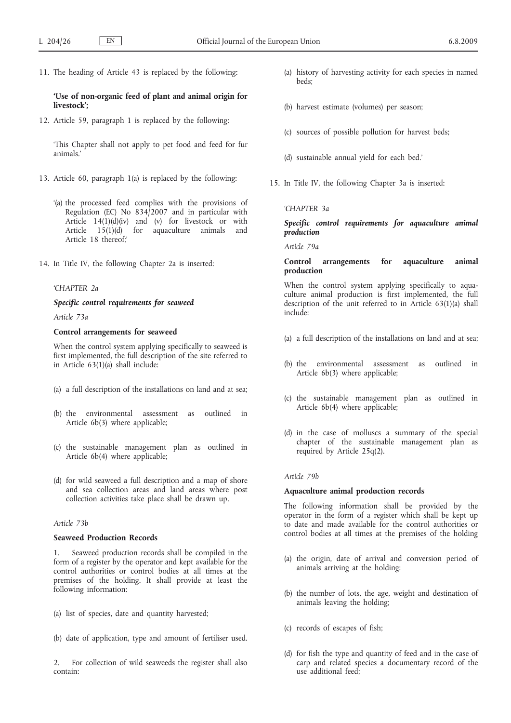11. The heading of Article 43 is replaced by the following:

### **'Use of non-organic feed of plant and animal origin for livestock';**

12. Article 59, paragraph 1 is replaced by the following:

'This Chapter shall not apply to pet food and feed for fur animals.'

- 13. Article 60, paragraph 1(a) is replaced by the following:
	- '(a) the processed feed complies with the provisions of Regulation (EC) No  $834/2007$  and in particular with Article 14(1)(d)(iv) and (v) for livestock or with Article 15(1)(d) for aquaculture animals and Article 18 thereof;'
- 14. In Title IV, the following Chapter 2a is inserted:

### *'CHAPTER 2a*

## *Specific control requirements for seaweed*

*Article 73a*

## **Control arrangements for seaweed**

When the control system applying specifically to seaweed is first implemented, the full description of the site referred to in Article 63(1)(a) shall include:

- (a) a full description of the installations on land and at sea;
- (b) the environmental assessment as outlined in Article 6b(3) where applicable;
- (c) the sustainable management plan as outlined in Article 6b(4) where applicable;
- (d) for wild seaweed a full description and a map of shore and sea collection areas and land areas where post collection activities take place shall be drawn up.

### *Article 73b*

### **Seaweed Production Records**

1. Seaweed production records shall be compiled in the form of a register by the operator and kept available for the control authorities or control bodies at all times at the premises of the holding. It shall provide at least the following information:

- (a) list of species, date and quantity harvested;
- (b) date of application, type and amount of fertiliser used.

2. For collection of wild seaweeds the register shall also contain:

- (a) history of harvesting activity for each species in named beds;
- (b) harvest estimate (volumes) per season;
- (c) sources of possible pollution for harvest beds;
- (d) sustainable annual yield for each bed.'
- 15. In Title IV, the following Chapter 3a is inserted:

#### *'CHAPTER 3a*

# *Specific control requirements for aquaculture animal production*

*Article 79a*

## **Control arrangements for aquaculture animal production**

When the control system applying specifically to aquaculture animal production is first implemented, the full description of the unit referred to in Article 63(1)(a) shall include:

- (a) a full description of the installations on land and at sea;
- (b) the environmental assessment as outlined in Article 6b(3) where applicable;
- (c) the sustainable management plan as outlined in Article 6b(4) where applicable;
- (d) in the case of molluscs a summary of the special chapter of the sustainable management plan as required by Article 25q(2).

### *Article 79b*

#### **Aquaculture animal production records**

The following information shall be provided by the operator in the form of a register which shall be kept up to date and made available for the control authorities or control bodies at all times at the premises of the holding

- (a) the origin, date of arrival and conversion period of animals arriving at the holding:
- (b) the number of lots, the age, weight and destination of animals leaving the holding;
- (c) records of escapes of fish;
- (d) for fish the type and quantity of feed and in the case of carp and related species a documentary record of the use additional feed;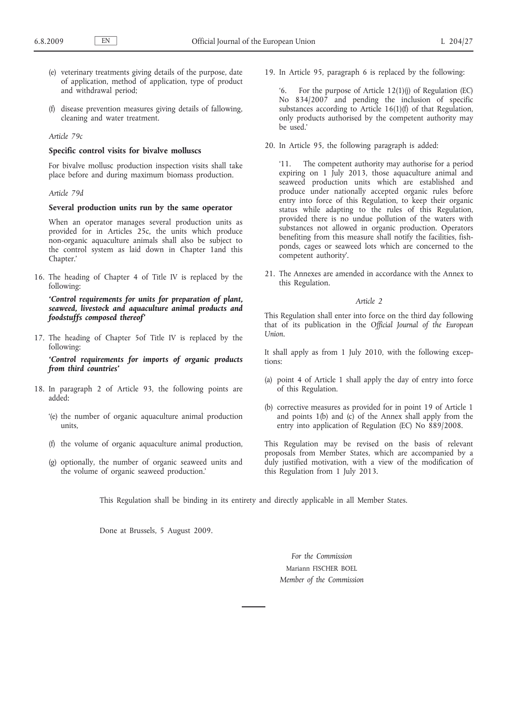- (e) veterinary treatments giving details of the purpose, date of application, method of application, type of product and withdrawal period;
- (f) disease prevention measures giving details of fallowing, cleaning and water treatment.

### *Article 79c*

#### **Specific control visits for bivalve molluscs**

For bivalve mollusc production inspection visits shall take place before and during maximum biomass production.

## *Article 79d*

## **Several production units run by the same operator**

When an operator manages several production units as provided for in Articles 25c, the units which produce non-organic aquaculture animals shall also be subject to the control system as laid down in Chapter 1and this Chapter.'

16. The heading of Chapter 4 of Title IV is replaced by the following:

*'Control requirements for units for preparation of plant, seaweed, livestock and aquaculture animal products and foodstuffs composed thereof'*

17. The heading of Chapter 5of Title IV is replaced by the following:

*'Control requirements for imports of organic products from third countries'*

- 18. In paragraph 2 of Article 93, the following points are added:
	- '(e) the number of organic aquaculture animal production units,
	- (f) the volume of organic aquaculture animal production,
	- (g) optionally, the number of organic seaweed units and the volume of organic seaweed production.'

19. In Article 95, paragraph 6 is replaced by the following:

For the purpose of Article  $12(1)(j)$  of Regulation (EC) No 834/2007 and pending the inclusion of specific substances according to Article 16(1)(f) of that Regulation, only products authorised by the competent authority may be used.'

20. In Article 95, the following paragraph is added:

'11. The competent authority may authorise for a period expiring on 1 July 2013, those aquaculture animal and seaweed production units which are established and produce under nationally accepted organic rules before entry into force of this Regulation, to keep their organic status while adapting to the rules of this Regulation, provided there is no undue pollution of the waters with substances not allowed in organic production. Operators benefiting from this measure shall notify the facilities, fishponds, cages or seaweed lots which are concerned to the competent authority'.

21. The Annexes are amended in accordance with the Annex to this Regulation.

### *Article 2*

This Regulation shall enter into force on the third day following that of its publication in the *Official Journal of the European Union*.

It shall apply as from 1 July 2010, with the following exceptions:

- (a) point 4 of Article 1 shall apply the day of entry into force of this Regulation.
- (b) corrective measures as provided for in point 19 of Article 1 and points  $1(b)$  and  $(c)$  of the Annex shall apply from the entry into application of Regulation (EC) No 889/2008.

This Regulation may be revised on the basis of relevant proposals from Member States, which are accompanied by a duly justified motivation, with a view of the modification of this Regulation from 1 July 2013.

This Regulation shall be binding in its entirety and directly applicable in all Member States.

Done at Brussels, 5 August 2009.

*For the Commission* Mariann FISCHER BOEL *Member of the Commission*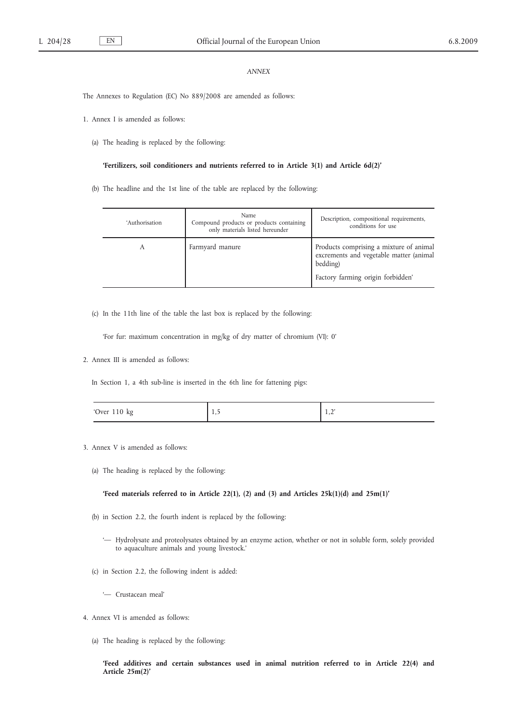### *ANNEX*

The Annexes to Regulation (EC) No 889/2008 are amended as follows:

- 1. Annex I is amended as follows:
	- (a) The heading is replaced by the following:

#### **'Fertilizers, soil conditioners and nutrients referred to in Article 3(1) and Article 6d(2)'**

(b) The headline and the 1st line of the table are replaced by the following:

| 'Authorisation | Name<br>Compound products or products containing<br>only materials listed hereunder | Description, compositional requirements,<br>conditions for use                                                                      |
|----------------|-------------------------------------------------------------------------------------|-------------------------------------------------------------------------------------------------------------------------------------|
| А              | Farmyard manure                                                                     | Products comprising a mixture of animal<br>excrements and vegetable matter (animal<br>bedding)<br>Factory farming origin forbidden' |

(c) In the 11th line of the table the last box is replaced by the following:

'For fur: maximum concentration in mg/kg of dry matter of chromium (VI): 0'

2. Annex III is amended as follows:

In Section 1, a 4th sub-line is inserted in the 6th line for fattening pigs:

| 'Over 110 kg | . | $\sim$<br>. |
|--------------|---|-------------|
|--------------|---|-------------|

- 3. Annex V is amended as follows:
	- (a) The heading is replaced by the following:

**'Feed materials referred to in Article 22(1), (2) and (3) and Articles 25k(1)(d) and 25m(1)'**

- (b) in Section 2.2, the fourth indent is replaced by the following:
	- '— Hydrolysate and proteolysates obtained by an enzyme action, whether or not in soluble form, solely provided to aquaculture animals and young livestock.'
- (c) in Section 2.2, the following indent is added:
	- '— Crustacean meal'
- 4. Annex VI is amended as follows:
	- (a) The heading is replaced by the following:

**'Feed additives and certain substances used in animal nutrition referred to in Article 22(4) and Article 25m(2)'**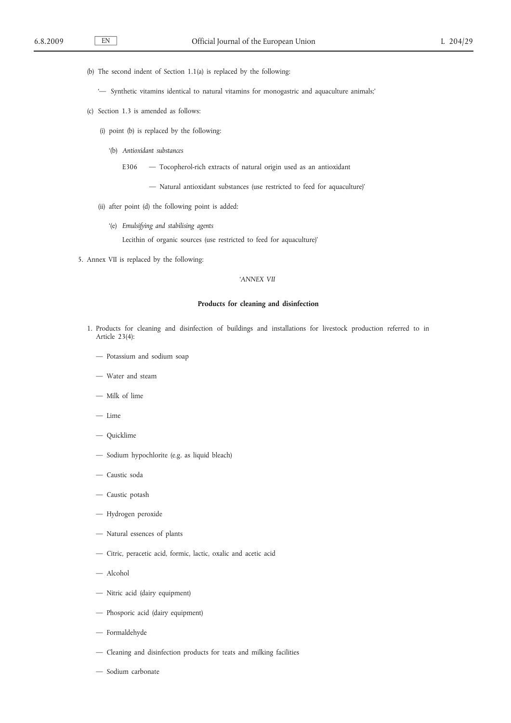(b) The second indent of Section 1.1(a) is replaced by the following:

- '— Synthetic vitamins identical to natural vitamins for monogastric and aquaculture animals;'
- (c) Section 1.3 is amended as follows:
	- (i) point (b) is replaced by the following:
		- '(b) *Antioxidant substances*
			- E306 Tocopherol-rich extracts of natural origin used as an antioxidant
				- Natural antioxidant substances (use restricted to feed for aquaculture)'
	- (ii) after point (d) the following point is added:
		- '(e) *Emulsifying and stabilising agents*
			- Lecithin of organic sources (use restricted to feed for aquaculture)'
- 5. Annex VII is replaced by the following:

### *'ANNEX VII*

#### **Products for cleaning and disinfection**

- 1. Products for cleaning and disinfection of buildings and installations for livestock production referred to in Article 23(4):
	- Potassium and sodium soap
	- Water and steam
	- Milk of lime
	- Lime
	- Quicklime
	- Sodium hypochlorite (e.g. as liquid bleach)
	- Caustic soda
	- Caustic potash
	- Hydrogen peroxide
	- Natural essences of plants
	- Citric, peracetic acid, formic, lactic, oxalic and acetic acid
	- Alcohol
	- Nitric acid (dairy equipment)
	- Phosporic acid (dairy equipment)
	- Formaldehyde
	- Cleaning and disinfection products for teats and milking facilities
	- Sodium carbonate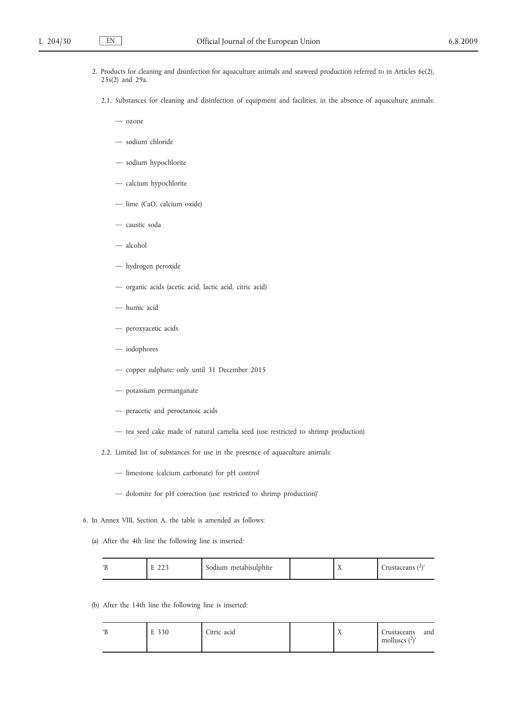- 2. Products for cleaning and disinfection for aquaculture animals and seaweed production referred to in Articles 6e(2), 25s(2) and 29a.
	- 2.1. Substances for cleaning and disinfection of equipment and facilities, in the absence of aquaculture animals:
		- ozone
		- sodium chloride
		- sodium hypochlorite
		- calcium hypochlorite
		- lime (CaO, calcium oxide)
		- caustic soda
		- alcohol
		- hydrogen peroxide
		- organic acids (acetic acid, lactic acid, citric acid)
		- humic acid
		- peroxyacetic acids
		- iodophores
		- copper sulphate: only until 31 December 2015
		- potassium permanganate
		- peracetic and peroctanoic acids
		- tea seed cake made of natural camelia seed (use restricted to shrimp production)
	- 2.2. Limited list of substances for use in the presence of aquaculture animals:
		- limestone (calcium carbonate) for pH control
		- dolomite for pH correction (use restricted to shrimp production)'
- 6. In Annex VIII, Section A, the table is amended as follows:
	- (a) After the 4th line the following line is inserted:

|  | $\sim$ $\sim$ $\sim$<br><u>_</u> | $\sqrt{2}$<br>Sodium metabisulphite |  |  | `rustaceans ( <sup>2</sup> )' |
|--|----------------------------------|-------------------------------------|--|--|-------------------------------|
|--|----------------------------------|-------------------------------------|--|--|-------------------------------|

(b) After the 14th line the following line is inserted:

|  | E 330 | Citric acid |  | $\overline{1}$ | Crustaceans<br>molluscs $(2)$ ' | and |
|--|-------|-------------|--|----------------|---------------------------------|-----|
|--|-------|-------------|--|----------------|---------------------------------|-----|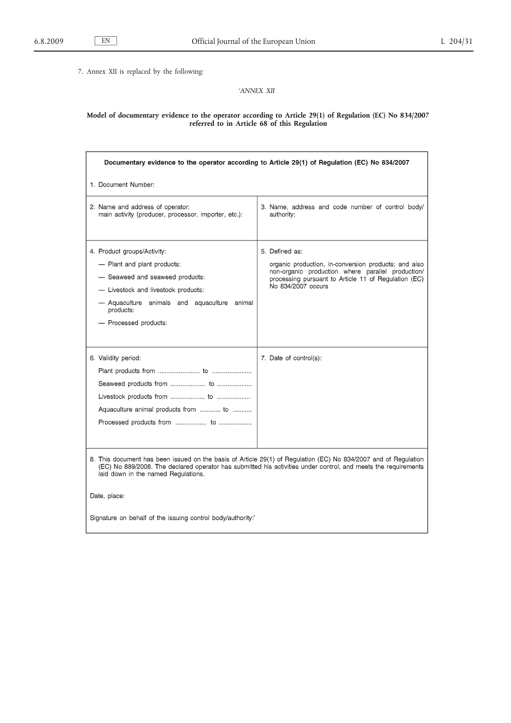7. Annex XII is replaced by the following:

# *'ANNEX XII*

#### **Model of documentary evidence to the operator according to Article 29(1) of Regulation (EC) No 834/2007 referred to in Article 68 of this Regulation**

| Documentary evidence to the operator according to Article 29(1) of Regulation (EC) No 834/2007                                                                                                                                                                                           |                                                                                                                                                                                                           |  |
|------------------------------------------------------------------------------------------------------------------------------------------------------------------------------------------------------------------------------------------------------------------------------------------|-----------------------------------------------------------------------------------------------------------------------------------------------------------------------------------------------------------|--|
| 1. Document Number:                                                                                                                                                                                                                                                                      |                                                                                                                                                                                                           |  |
| 2. Name and address of operator:<br>main activity (producer, processor, importer, etc.):                                                                                                                                                                                                 | 3. Name, address and code number of control body/<br>authority:                                                                                                                                           |  |
| 4. Product groups/Activity:<br>- Plant and plant products:<br>- Seaweed and seaweed products:<br>- Livestock and livestock products:<br>- Aquaculture animals and aquaculture animal<br>products:<br>- Processed products:                                                               | 5. Defined as:<br>organic production, in-conversion products; and also<br>non-organic production where parallel production/<br>processing pursuant to Article 11 of Regulation (EC)<br>No 834/2007 occurs |  |
| 6. Validity period:<br>Aquaculture animal products from  to                                                                                                                                                                                                                              | 7. Date of control(s):                                                                                                                                                                                    |  |
| 8. This document has been issued on the basis of Article 29(1) of Regulation (EC) No 834/2007 and of Regulation<br>(EC) No 889/2008. The declared operator has submitted his activities under control, and meets the requirements<br>laid down in the named Regulations.<br>Date, place: |                                                                                                                                                                                                           |  |
| Signature on behalf of the issuing control body/authority."                                                                                                                                                                                                                              |                                                                                                                                                                                                           |  |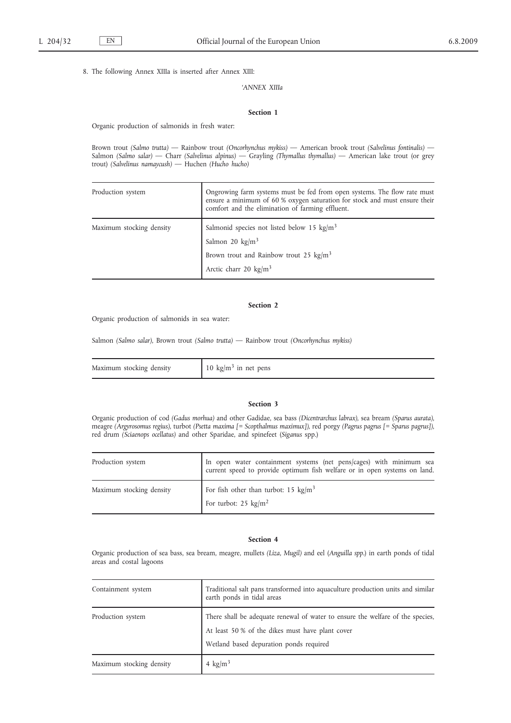8. The following Annex XIIIa is inserted after Annex XIII:

*'ANNEX XIIIa*

#### **Section 1**

Organic production of salmonids in fresh water:

Brown trout *(Salmo trutta)* — Rainbow trout *(Oncorhynchus mykiss)* — American brook trout *(Salvelinus fontinalis)* — Salmon *(Salmo salar)* — Charr *(Salvelinus alpinus)* — Grayling *(Thymallus thymallus)* — American lake trout (or grey trout) *(Salvelinus namaycush)* — Huchen *(Hucho hucho)*

| Ongrowing farm systems must be fed from open systems. The flow rate must<br>ensure a minimum of 60 % oxygen saturation for stock and must ensure their<br>comfort and the elimination of farming effluent. |
|------------------------------------------------------------------------------------------------------------------------------------------------------------------------------------------------------------|
| Salmonid species not listed below 15 $\text{kg/m}^3$<br>Salmon 20 $\text{kg/m}^3$                                                                                                                          |
| Brown trout and Rainbow trout 25 $\text{kg/m}^3$<br>Arctic charr 20 $\text{kg/m}^3$                                                                                                                        |
|                                                                                                                                                                                                            |

### **Section 2**

Organic production of salmonids in sea water:

Salmon *(Salmo salar)*, Brown trout *(Salmo trutta)* — Rainbow trout *(Oncorhynchus mykiss)*

| Maximum stocking density | 10 kg/m <sup>3</sup> in net pens |
|--------------------------|----------------------------------|
|--------------------------|----------------------------------|

#### **Section 3**

Organic production of cod *(Gadus morhua)* and other Gadidae, sea bass *(Dicentrarchus labrax)*, sea bream *(Sparus aurata)*, meagre *(Argyrosomus regius)*, turbot *(Psetta maxima [= Scopthalmus maximux])*, red porgy *(Pagrus pagrus [= Sparus pagrus])*, red drum *(Sciaenops ocellatus)* and other Sparidae, and spinefeet (*Siganus* spp.)

| Production system        | In open water containment systems (net pens/cages) with minimum sea<br>current speed to provide optimum fish welfare or in open systems on land. |
|--------------------------|--------------------------------------------------------------------------------------------------------------------------------------------------|
| Maximum stocking density | For fish other than turbot: 15 $\text{kg/m}^3$<br>For turbot: $25 \text{ kg/m}^2$                                                                |

## **Section 4**

Organic production of sea bass, sea bream, meagre, mullets *(Liza, Mugil)* and eel (*Anguilla spp.*) in earth ponds of tidal areas and costal lagoons

| Containment system       | Traditional salt pans transformed into aquaculture production units and similar<br>earth ponds in tidal areas                                                                 |
|--------------------------|-------------------------------------------------------------------------------------------------------------------------------------------------------------------------------|
| Production system        | There shall be adequate renewal of water to ensure the welfare of the species,<br>At least 50 % of the dikes must have plant cover<br>Wetland based depuration ponds required |
| Maximum stocking density | 4 $\text{kg/m}^3$                                                                                                                                                             |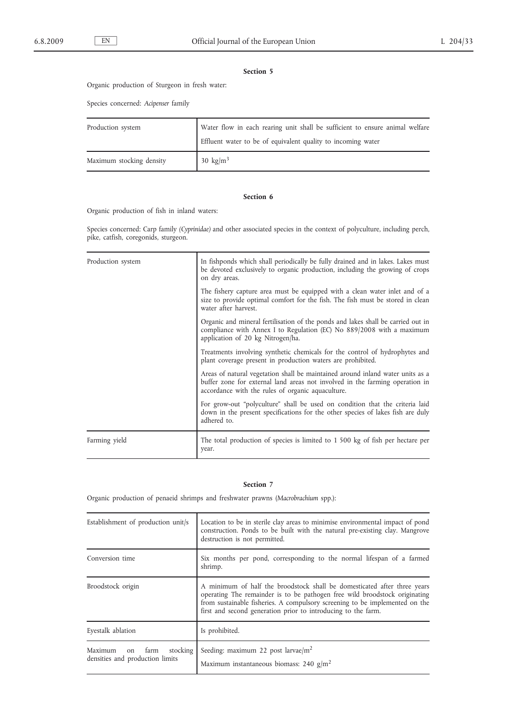## **Section 5**

Organic production of Sturgeon in fresh water:

Species concerned: *Acipenser* family

| Production system        | Water flow in each rearing unit shall be sufficient to ensure animal welfare<br>Effluent water to be of equivalent quality to incoming water |
|--------------------------|----------------------------------------------------------------------------------------------------------------------------------------------|
| Maximum stocking density | 30 kg/m <sup>3</sup>                                                                                                                         |

### **Section 6**

Organic production of fish in inland waters:

Species concerned: Carp family *(Cyprinidae)* and other associated species in the context of polyculture, including perch, pike, catfish, coregonids, sturgeon.

| Production system | In fishponds which shall periodically be fully drained and in lakes. Lakes must<br>be devoted exclusively to organic production, including the growing of crops<br>on dry areas.                                    |
|-------------------|---------------------------------------------------------------------------------------------------------------------------------------------------------------------------------------------------------------------|
|                   | The fishery capture area must be equipped with a clean water inlet and of a<br>size to provide optimal comfort for the fish. The fish must be stored in clean<br>water after harvest.                               |
|                   | Organic and mineral fertilisation of the ponds and lakes shall be carried out in<br>compliance with Annex I to Regulation (EC) No 889/2008 with a maximum<br>application of 20 kg Nitrogen/ha.                      |
|                   | Treatments involving synthetic chemicals for the control of hydrophytes and<br>plant coverage present in production waters are prohibited.                                                                          |
|                   | Areas of natural vegetation shall be maintained around inland water units as a<br>buffer zone for external land areas not involved in the farming operation in<br>accordance with the rules of organic aquaculture. |
|                   | For grow-out "polyculture" shall be used on condition that the criteria laid<br>down in the present specifications for the other species of lakes fish are duly<br>adhered to.                                      |
| Farming yield     | The total production of species is limited to 1 500 kg of fish per hectare per<br>year.                                                                                                                             |

#### **Section 7**

Organic production of penaeid shrimps and freshwater prawns (*Macrobrachium* spp.):

| Establishment of production unit/s                                   | Location to be in sterile clay areas to minimise environmental impact of pond<br>construction. Ponds to be built with the natural pre-existing clay. Mangrove<br>destruction is not permitted.                                                                                                         |
|----------------------------------------------------------------------|--------------------------------------------------------------------------------------------------------------------------------------------------------------------------------------------------------------------------------------------------------------------------------------------------------|
| Conversion time                                                      | Six months per pond, corresponding to the normal lifespan of a farmed<br>shrimp.                                                                                                                                                                                                                       |
| Broodstock origin                                                    | A minimum of half the broodstock shall be domesticated after three years<br>operating The remainder is to be pathogen free wild broodstock originating<br>from sustainable fisheries. A compulsory screening to be implemented on the<br>first and second generation prior to introducing to the farm. |
| Eyestalk ablation                                                    | Is prohibited.                                                                                                                                                                                                                                                                                         |
| stocking<br>Maximum<br>farm<br>on<br>densities and production limits | Seeding: maximum 22 post larvae/m <sup>2</sup><br>Maximum instantaneous biomass: 240 $g/m2$                                                                                                                                                                                                            |